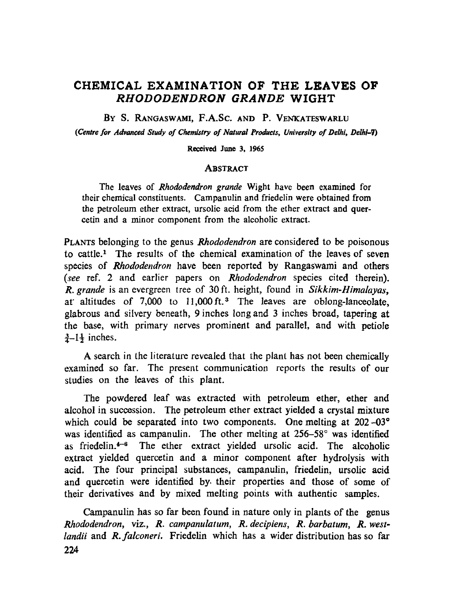# **CHEMICAL EXAMINATION OF THE LEAVES OF**  *RHODODENDRON GRANDE* **WIGHT**

BY S. RANGASWAMI, F.A.SC. AND P. VENKATESWARLU

*(Centre for Advanced Study of Chemistry of Natural Products, University of Delhi, Delhi-7)* 

Received June 3, 1965

### **ABSTRACT**

The leaves of *Rhododendron grande* Wight have been examined for their chemical constituents. Campanulin and friedelin were obtained from the petroleum ether extract, ursolie acid from the ether extract and quercetin and a minor component from the alcoholic extract.

PLANTS belonging to the genus *Rhododendron* are considered to be poisonous to cattle." The results of the chemical examination of the leaves of seven species of *Rhododendron* have been reported by Rangaswami and others *(see* ref. 2 and earlier papers on *Rhododendron* species cited therein). *R. grande* is an evergreen tree of 30 ft. height, found in *Sikkim-Himalayas,*  at altitudes of  $7,000$  to  $11,000$  ft.<sup>3</sup> The leaves are oblong-lanceolate, glabrous and silvery beneath, 9 inches long and 3 inches broad, tapering at the base, with primary nerves prominent and parallel, and with petiole  $3-1$  inches.

A search in the literature revealed that the plant has not been chemically examined so far. The present communication reports the results of our studies on the leaves of this plant.

The powdered leaf was extracted with petroleum ether, ether and alcohol in succossion. The petroleum ether extract yielded a crystal mixture which could be separated into two components. One melting at  $202-03^{\circ}$ was identified as campanulin. The other melting at  $256-58^\circ$  was identified as friedelin. $4-6$  The ether extract yielded ursolic acid. The alcoholic extract yielded quercetin and a minor component after hydrolysis with acid. The four principal substances, campanulin, friedelin, ursolic acid and quercetin were identified by their properties and those of some of their derivatives and by mixed melting points with authentic samples.

Campanulin has so far been found in nature only in plants of the genus *Rhododendron,* viz., *R. campanulatum, R. decipiens, R. barbatum, R. westlandii* and *R.falconeri.* Friedelin which has a wider distribution has so far 224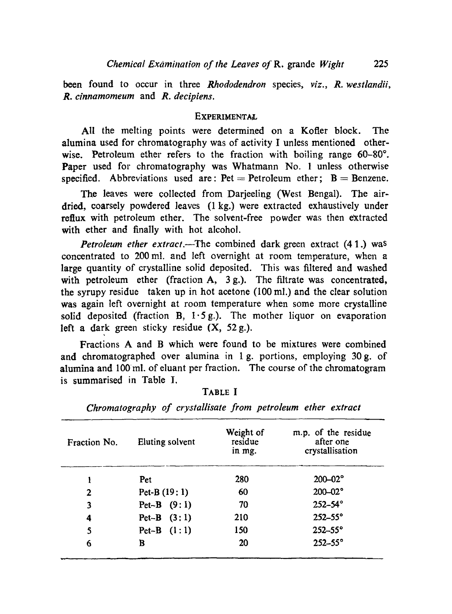been found to occur in three *Rhododendron* species, *viz., R. westlandii, R. cinnamomeum* and *R. decipiens.* 

### **EXPERIMENTAL**

AII the melting points were determined on a Kofler block. The alumina used for chromatography was of activity I unless mentioned otherwise. Petroleum ether refers to the fraction with boiling range  $60-80^\circ$ . Paper used for chromatography was Whatmann No. 1 unless otherwise specified. Abbreviations used are:  $Pet = Petrolcum$  ether;  $B = Benzen$ e.

The leaves were collected from Darjeeling (West Bengal). The airdried, eoarsely powdered leaves (1 kg.) were extracted exhaustively under reflux with petroleum ether. The solvent-free powder was then extracted with ether and finally with hot alcohol.

*Petroleum ether extract.*--The combined dark green extract (41.) was concentrated to 200 ml. and left overnight at room temperature, when a large quantity of crystalline solid deposited. This was filtered and washed with petroleum ether (fraction A, 3 g.). The filtrate was concentrated, the syrupy residue taken up in hot acetone (100 ml.) and the clear solution was again left overnight at room temperature when some more crystalline solid deposited (fraction B,  $1.5g$ ). The mother liquor on evaporation left a dark green sticky residue (X, 52 g.).

Fractions A and B which were found to be mixtures were combined and chromatographed over alumina in 1 g. portions, employing 30g. of alumina and 100ml. of eluant per fraction. The course of the chromatogram is summarised in Table I.

| <b>Fraction No.</b> | Eluting solvent | Weight of<br>residue<br>in mg. | m.p. of the residue<br>after one<br>crystallisation |
|---------------------|-----------------|--------------------------------|-----------------------------------------------------|
|                     | Pet             | 280                            | $200 - 02$ °                                        |
| 2                   | Pet-B $(19:1)$  | 60                             | $200 - 02$ °                                        |
| 3                   | Pet-B $(9:1)$   | 70                             | $252 - 54^\circ$                                    |
| 4                   | $Pet-B$ $(3:1)$ | 210                            | $252 - 55^\circ$                                    |
| 5                   | $Pet-B$ $(l:1)$ | <b>150</b>                     | $252 - 55^\circ$                                    |
| 6                   | в               | 20                             | $252 - 55^\circ$                                    |

TABLE I

*Chromatography of crystallisate from petroleum ether extract*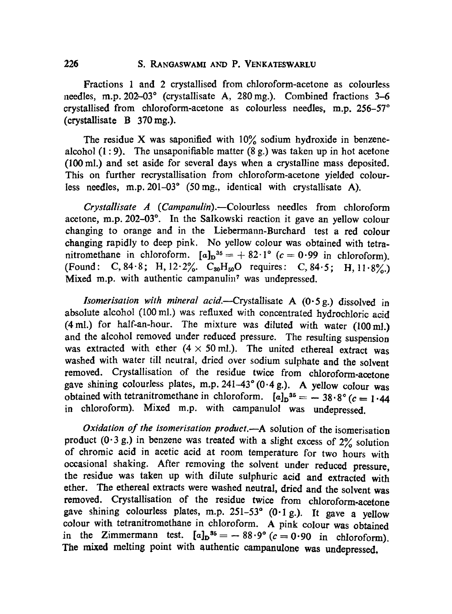Fractions 1 and 2 crystallised from chloroform-acetone as colourless needles, m.p. 202-03° (crystallisate A, 280 mg.). Combined fractions 3-6 crystallised from chloroform-acetone as colourless needles, m.p.  $256-57°$ (crystallisate B 370mg.).

The residue X was saponified with  $10\%$  sodium hydroxide in benzenealcohol  $(1:9)$ . The unsaponifiable matter  $(8 g)$  was taken up in hot acetone (100ml.) and set aside for several days when a crystalline mass deposited. This on further recrystallisation from chloroform-acetone yielded colourless needles, m.p. 201-03" (50mg., identical with crystallisate A).

*Crystallisate A (Campanulin).--Colourless* needles from chloroform acetone, m.p. 202-03°. In the Salkowski reaction it gave an yellow colour changing to orange and in the Liebermann-Burchard test a red colour changing rapidly to deep pink. No yellow colour was obtained with tetranitromethane in chloroform.  $[a]_D^{35} = +82.1^{\circ}$  (c = 0.99 in chloroform). (Found: C, 84.8; H, 12.2%, C<sub>30</sub>H<sub>50</sub>O requires: C, 84.5; H, 11.8%) Mixed m.p. with authentic campanulin<sup>7</sup> was undepressed.

*lsomerisation with mineral acid.--Crystallisate* A (0-5g.) dissolved in absolute alcohol (100 mi.) was refiuxed with concentrated hydrochloric acid (4ml.) for half-an-hour. The mixture was diluted with water (100mi.) and the alcohol removed under reduced pressure. The resulting suspension was extracted with ether  $(4 \times 50 \text{ ml})$ . The united ethereal extract was washed with water till neutral, dried over sodium sulphate and the solvent removed. Crystallisation of the residue twice from chloroform-acetone gave shining colourless plates, m.p.  $241-43^{\circ}$  (0.4 g.). A yellow colour was obtained with tetranitromethane in chloroform.  $[a]_D^{35} = -38.8^\circ$  ( $c = 1.44$ ) in chloroform). Mixed m.p. with campanulol was undepressed.

*Oxidation of the isomerisation product.--A* solution of the isomerisation product  $(0.3 g.)$  in benzene was treated with a slight excess of  $2\%$  solution of chromic acid in acetic acid at room temperature for two hours with ,ocasional shaking. After removing the solvent under reduced pressure, the residue was taken up with dilute sulphuric acid and extracted with ether. The ethereal extracts were washed neutral, dried and the solvent was removed. Crystallisation of the residue twice from chloroform-acetone gave shining colourless plates, m.p.  $251-53^{\circ}$  (0.1 g.). It gave a yellow eolour with tetranitromethane in chloroform. A pink colour was obtained in the Zimmermann test.  $[a]_D^{36} = -88.9^\circ (c=0.90 \text{ in chloroform}).$ The mixed melting point with authentic campanulone was undepressed,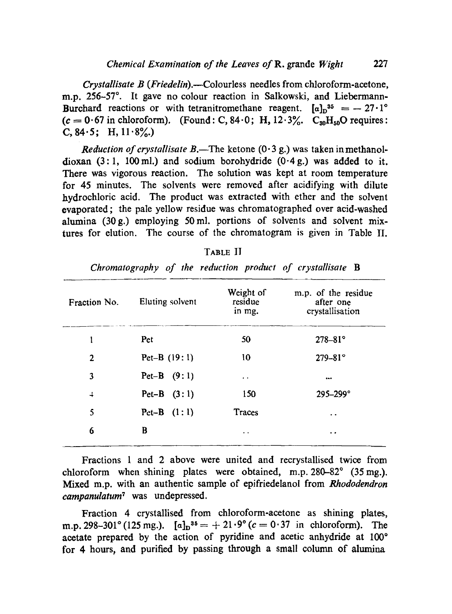*Crystallisate B ( Friedelin).--Colourless* needles from chloroform-acetone, m.p. 256-57°. It gave no colour reaction in Salkowski, and Liebermann-Burchard reactions or with tetranitromethane reagent.  $[a]_n^{35} = -27 \cdot 1^{\circ}$  $(c = 0.67$  in chloroform). (Found: C, 84.0; H, 12.3%. C<sub>sn</sub>H<sub>sn</sub>O requires: C,  $84.5$ ; H,  $11.8\%$ .)

*Reduction of crystallisate B*.—The ketone  $(0.3 \text{ g})$  was taken in methanoldioxan  $(3:1, 100 \text{ ml})$  and sodium borohydride  $(0.4 \text{ g})$  was added to it. There was vigorous reaction. The solution was kept at room temperature for 45 minutes. The solvents were removed after acidifying with dilute hydrochloric acid. The product was extracted with ether and the solvent evaporated; the pale yellow residue was chromatographed over acid-washed alumina  $(30 \text{ g.})$  employing 50 ml, portions of solvents and solvent mixtures for elution. The course of the chromatogram is given in Table II.

| Fraction No.  | Eluting solvent | Weight of<br>residue<br>in mg. | m.p. of the residue<br>after one<br>crystallisation |
|---------------|-----------------|--------------------------------|-----------------------------------------------------|
| l             | Pet             | 50                             | $278 - 81^{\circ}$                                  |
| 2             | Pet-B $(19:1)$  | 10                             | $279 - 81^{\circ}$                                  |
| 3             | Pet-B $(9:1)$   | $\bullet$                      |                                                     |
| $\frac{1}{2}$ | Pet-B $(3:1)$   | 150                            | $295 - 299$ °                                       |
| 5             | Pet-B $(1:1)$   | Traces                         | . .                                                 |
| 6             | B               | $\ddot{\phantom{1}}$           | $\ddot{\phantom{0}}$                                |

| ١К<br>ъ. |  |
|----------|--|
|----------|--|

*Chromatography of the reduction product of crystallisate B* 

Fractions 1 and 2 above were united and recrystallised twice from chloroform when shining plates were obtained, m.p.  $280-82^{\circ}$  (35 mg.). Mixed m.p. with an authentic sample of epifriedelanol from *Rhododendron campanulatum<sup>7</sup>* was undepressed.

Fraction 4 crystallised from chloroform-acetone as shining plates, m.p. 298-301° (125 mg.).  $[a]_D^{35} = +21.9° (c = 0.37 \text{ in chloroform}).$  The acetate prepared by the action of pyridine and acetic anhydride at  $100^\circ$ for 4 hours, and purified by passing through a small column of alumina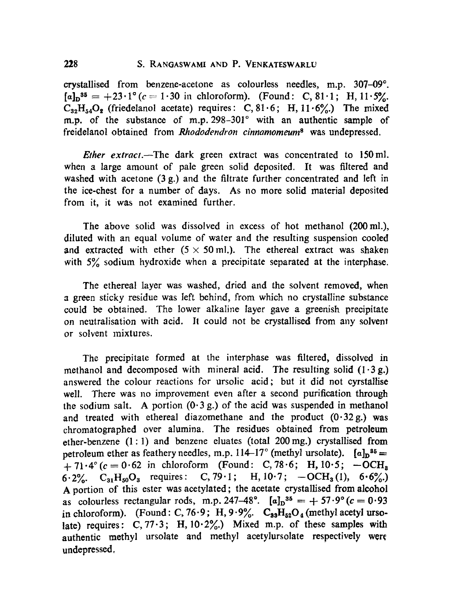crystallised from benzene-acetone as colourless needles, m.p.  $307-09^\circ$ .  $[a]_D^{35} = +23.1^{\circ}$  (c = 1.30 in chloroform). (Found: C, 81.1; H, 11.5%.  $C_{32}H_{54}O_2$  (friedelanol acetate) requires: C, 81.6; H, 11.6%) The mixed m.p. of the substance of m.p.  $298-301^{\circ}$  with an authentic sample of freidelanol obtained from *Rhododendron cinnamomeum<sup>8</sup>* was undepressed.

*Ether extract.*—The dark green extract was concentrated to 150 ml. when a large amount of pale green solid deposited. It was filtered and washed with acetone  $(3 g)$  and the filtrate further concentrated and left in the ice-chest for a number of days. As no more solid material deposited from it, ir was not examined further.

The above solid was dissolved in excess of hot methanol (200mi.), diluted with an equal volume of water and the resulting suspension cooled and extracted with ether  $(5 \times 50 \text{ ml})$ . The ethereal extract was shaken with  $5\%$  sodium hydroxide when a precipitate separated at the interphase.

The ethereal layer was washed, dried and the solvent removed, when a green sticky residue was left behind, from which no crystalline substance could be obtained. The lower alkaline layer gave a greenish precipitate on neutralisation with acid. It could not be crystallised from any solvent or solvent mixtures.

The precipitate formed at the interphase was filtered, dissolved in methanol and decomposed with mineral acid. The resulting solid  $(1.3 g.)$ answered the colour reactions for ursolic acid; but it did not cyrstallise well. There was no improvement even after a second purification through the sodium salt. A portion  $(0.3 g.)$  of the acid was suspended in methanol and treated with ethereal diazomethane and the product  $(0.32 g)$  was chromatographed over alumina. The residues obtained from petroleum ether-benzene (1:1) and benzene eluates (total 200mg.) crystallised from petroleum ether as feathery needles, m.p. 114-17° (methyl ursolate).  $[a]_n^{85}$  =  $+ 71.4^{\circ}$  (c = 0.62 in chloroform (Found: C, 78.6; H, 10.5; -OCH<sub>8</sub> 6.2%.  $C_{31}H_{50}O_3$  requires: C, 79.1; H, 10.7;  $-OCH_3(1)$ , 6.6%.) A portion of this ester was acetylated; the acetate crystallised from alcohol as colourless rectangular rods, m.p. 247-48°.  $[a]_D^{35} = +57.9^{\circ}$  ( $c = 0.93$ ) in chloroform). (Found: C, 76.9; H, 9.9%.  $C_{33}H_{52}O_4$  (methyl acetyl ursolate) requires:  $C, 77.3$ ; H,  $10.2\%$ .) Mixed m.p. of these samples with authentic methyl ursolate and methyl acetylursolate respectively were undepressed,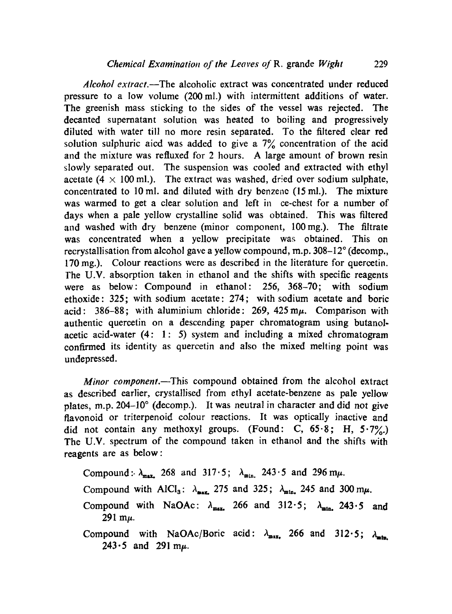*Alcohol extract.--The* alcoholic extract was concentrated under reduced pressure to a low volume (200mi.) with intermittent additions of water. The greenish mass sticking to the sides of the vessel was rejected. The decanted supernatant solution was heated to boiling and progressively diluted with water till no more resin separated. To the filtered clear red solution sulphuric aicd was added to give a  $7\%$  concentration of the acid and the mixture was refluxed for 2 hours. A large amount of brown resin slowly separated out. The suspension was cooled and extracted with ethyl acetate (4  $\times$  100 ml.). The extract was washed, dried over sodium sulphate, concentrated to 10 mi. and diluted with dry benzene (15 mi.). The mixture was warmed to get a clear solution and left in ce-chest for a number of days when a pale yellow crystalline solid was obtained. This was filtered and washed with dry benzene (minor component, 100mg.). The filtrate was concentrated when a yellow precipitate was obtained. This on recrystallisation from alcohol gave a yellow compound, m.p.  $308-12^{\circ}$  (decomp., 170 mg.). Colour reactions were as described in the literature for quercetin. The U.V. absorption taken in ethanol and the shifts with specific reagents were as below: Compound in ethanol: 256, 368-70; with sodium ethoxide: 325; with sodium acetate: 274; with sodium acetate and boric acid: 386-88; with aluminium chloride:  $269$ ,  $425 \text{ m}\mu$ . Comparison with authentic quercetin on a descending paper chromatogram using butanolacetic acid-water  $(4: 1: 5)$  system and including a mixed chromatogram confirmed its identity as quercetin and also the mixed melting point was undepressed.

*Minor component*.—This compound obtained from the alcohol extract as described earlier, crystallised from ethyl acetate-benzene as pale yellow plates, m.p.  $204-10^{\circ}$  (decomp.). It was neutral in character and did not give flavonoid or triterpenoid colour reactions. It was optically inactive and did not contain any methoxyl groups. (Found: C,  $65.8$ ; H,  $5.7\%$ .) The U.V. spectrum of the compound taken in ethanol and the shifts with reagents are as below:

Compound:  $\lambda_{\text{max}}$ , 268 and 317.5;  $\lambda_{\text{min}}$ , 243.5 and 296 m $\mu$ .

Compound with AlCI<sub>3</sub>:  $\lambda_{\text{max}}$  275 and 325;  $\lambda_{\text{min}}$  245 and 300 m $\mu$ .

- Compound with NaOAc:  $\lambda_{max}$ , 266 and 312.5;  $\lambda_{min}$ , 243.5 and  $291$  m $\mu$ .
- Compound with NaOAc/Boric acid:  $\lambda_{max}$  266 and 312.5;  $\lambda_{min}$ 243.5 and 291 m $\mu$ .